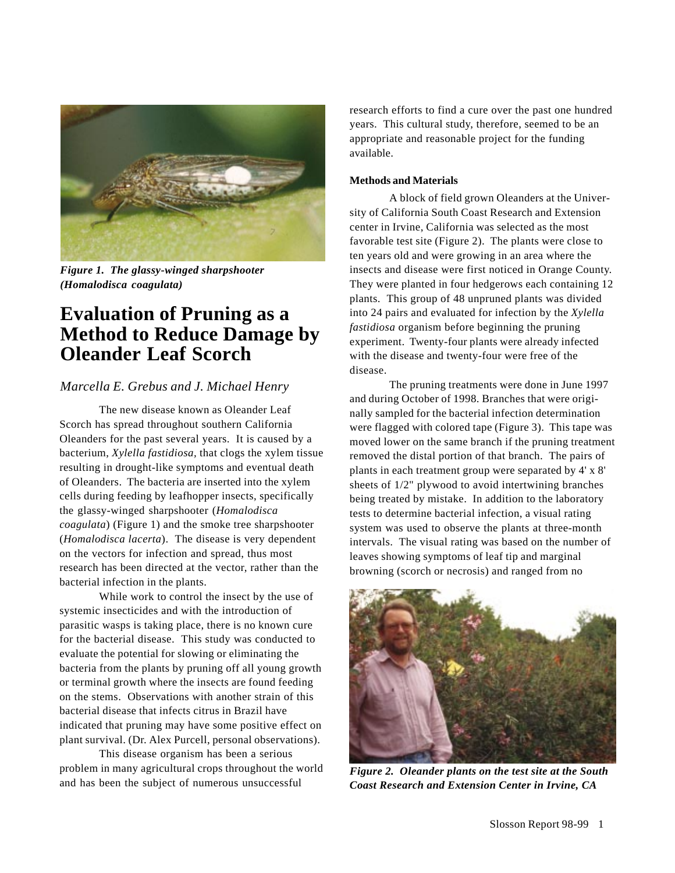

*Figure 1. The glassy-winged sharpshooter (Homalodisca coagulata)*

# **Evaluation of Pruning as a Method to Reduce Damage by Oleander Leaf Scorch**

## *Marcella E. Grebus and J. Michael Henry*

The new disease known as Oleander Leaf Scorch has spread throughout southern California Oleanders for the past several years. It is caused by a bacterium, *Xylella fastidiosa,* that clogs the xylem tissue resulting in drought-like symptoms and eventual death of Oleanders. The bacteria are inserted into the xylem cells during feeding by leafhopper insects, specifically the glassy-winged sharpshooter (*Homalodisca coagulata*) (Figure 1) and the smoke tree sharpshooter (*Homalodisca lacerta*). The disease is very dependent on the vectors for infection and spread, thus most research has been directed at the vector, rather than the bacterial infection in the plants.

While work to control the insect by the use of systemic insecticides and with the introduction of parasitic wasps is taking place, there is no known cure for the bacterial disease. This study was conducted to evaluate the potential for slowing or eliminating the bacteria from the plants by pruning off all young growth or terminal growth where the insects are found feeding on the stems. Observations with another strain of this bacterial disease that infects citrus in Brazil have indicated that pruning may have some positive effect on plant survival. (Dr. Alex Purcell, personal observations).

This disease organism has been a serious problem in many agricultural crops throughout the world and has been the subject of numerous unsuccessful

research efforts to find a cure over the past one hundred years. This cultural study, therefore, seemed to be an appropriate and reasonable project for the funding available.

### **Methods and Materials**

A block of field grown Oleanders at the University of California South Coast Research and Extension center in Irvine, California was selected as the most favorable test site (Figure 2). The plants were close to ten years old and were growing in an area where the insects and disease were first noticed in Orange County. They were planted in four hedgerows each containing 12 plants. This group of 48 unpruned plants was divided into 24 pairs and evaluated for infection by the *Xylella fastidiosa* organism before beginning the pruning experiment. Twenty-four plants were already infected with the disease and twenty-four were free of the disease.

The pruning treatments were done in June 1997 and during October of 1998. Branches that were originally sampled for the bacterial infection determination were flagged with colored tape (Figure 3). This tape was moved lower on the same branch if the pruning treatment removed the distal portion of that branch. The pairs of plants in each treatment group were separated by 4' x 8' sheets of 1/2" plywood to avoid intertwining branches being treated by mistake. In addition to the laboratory tests to determine bacterial infection, a visual rating system was used to observe the plants at three-month intervals. The visual rating was based on the number of leaves showing symptoms of leaf tip and marginal browning (scorch or necrosis) and ranged from no



*Figure 2. Oleander plants on the test site at the South Coast Research and Extension Center in Irvine, CA*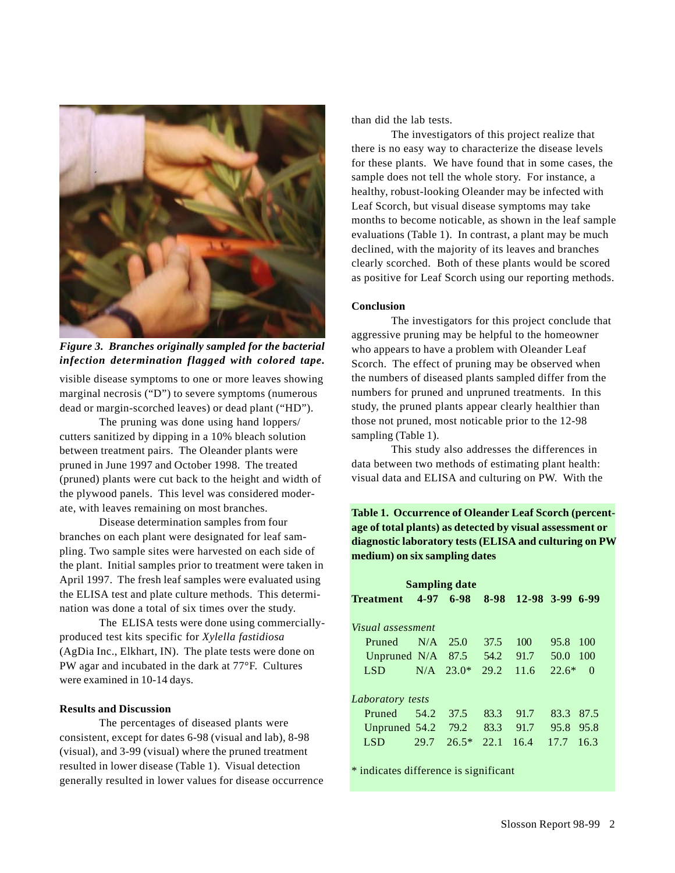

visible disease symptoms to one or more leaves showing marginal necrosis ("D") to severe symptoms (numerous dead or margin-scorched leaves) or dead plant ("HD"). *Figure 3. Branches originally sampled for the bacterial infection determination flagged with colored tape.*

The pruning was done using hand loppers/ cutters sanitized by dipping in a 10% bleach solution between treatment pairs. The Oleander plants were pruned in June 1997 and October 1998. The treated (pruned) plants were cut back to the height and width of the plywood panels. This level was considered moderate, with leaves remaining on most branches.

Disease determination samples from four branches on each plant were designated for leaf sampling. Two sample sites were harvested on each side of the plant. Initial samples prior to treatment were taken in April 1997. The fresh leaf samples were evaluated using the ELISA test and plate culture methods. This determination was done a total of six times over the study.

The ELISA tests were done using commerciallyproduced test kits specific for *Xylella fastidiosa* (AgDia Inc., Elkhart, IN). The plate tests were done on PW agar and incubated in the dark at 77°F. Cultures were examined in 10-14 days.

### **Results and Discussion**

The percentages of diseased plants were consistent, except for dates 6-98 (visual and lab), 8-98 (visual), and 3-99 (visual) where the pruned treatment resulted in lower disease (Table 1). Visual detection generally resulted in lower values for disease occurrence than did the lab tests.

The investigators of this project realize that there is no easy way to characterize the disease levels for these plants. We have found that in some cases, the sample does not tell the whole story. For instance, a healthy, robust-looking Oleander may be infected with Leaf Scorch, but visual disease symptoms may take months to become noticable, as shown in the leaf sample evaluations (Table 1). In contrast, a plant may be much declined, with the majority of its leaves and branches clearly scorched. Both of these plants would be scored as positive for Leaf Scorch using our reporting methods.

#### **Conclusion**

The investigators for this project conclude that aggressive pruning may be helpful to the homeowner who appears to have a problem with Oleander Leaf Scorch. The effect of pruning may be observed when the numbers of diseased plants sampled differ from the numbers for pruned and unpruned treatments. In this study, the pruned plants appear clearly healthier than those not pruned, most noticable prior to the 12-98 sampling (Table 1).

This study also addresses the differences in data between two methods of estimating plant health: visual data and ELISA and culturing on PW. With the

**Table 1. Occurrence of Oleander Leaf Scorch (percentage of total plants) as detected by visual assessment or diagnostic laboratory tests (ELISA and culturing on PW medium) on six sampling dates**

| Sampling date     |      |             |      |      |                     |
|-------------------|------|-------------|------|------|---------------------|
| <b>Treatment</b>  |      | $4-97$ 6-98 | 8-98 |      | 12-98 3-99 6-99     |
| Visual assessment |      |             |      |      |                     |
| <b>Pruned</b>     | N/A  | 25.0        | 37.5 | 100  | 95.8<br>100         |
| Unpruned N/A      |      | 87.5        | 54.2 | 91.7 | 50.0<br>100         |
| LSD.              | N/A  | $23.0*$     | 29.2 | 11.6 | $22.6*$<br>$\Omega$ |
| Laboratory tests  |      |             |      |      |                     |
| Pruned            | 54.2 | 37.5        | 83.3 | 91.7 | 83.3<br>87.5        |
| Unpruned 54.2     |      | 79.2        | 83.3 | 91.7 | 95.8<br>95.8        |
| <b>LSD</b>        | 29.7 | $26.5*$     | 22.1 | 16.4 | 17.7<br>16.3        |
|                   |      |             |      |      |                     |

\* indicates difference is significant